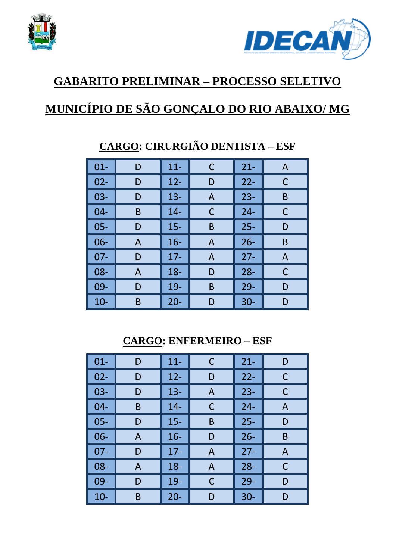



#### **GABARITO PRELIMINAR – PROCESSO SELETIVO**

# **MUNICÍPIO DE SÃO GONÇALO DO RIO ABAIXO/ MG**

| $01 -$ | D | $11 -$ | C | $21 -$ | A |
|--------|---|--------|---|--------|---|
| $02 -$ | D | $12 -$ | D | $22 -$ | C |
| $03 -$ | D | $13 -$ | A | $23 -$ | B |
| $04 -$ | B | $14 -$ | C | $24 -$ | С |
| $05 -$ | D | $15 -$ | B | $25 -$ | D |
| $06 -$ | A | $16 -$ | A | $26 -$ | B |
| $07 -$ | D | $17 -$ | A | $27 -$ | A |
| 08-    | A | $18 -$ | D | $28 -$ | C |
| 09-    | D | 19-    | B | $29 -$ | D |
| $10-$  | B | $20 -$ | D | $30 -$ | D |

# **CARGO: CIRURGIÃO DENTISTA – ESF**

**CARGO: ENFERMEIRO – ESF** 

| $01 -$ | D | $11 -$ | С | $21 -$ | D |
|--------|---|--------|---|--------|---|
| $02 -$ | D | $12 -$ | D | $22 -$ | C |
| $03 -$ | D | $13 -$ | A | $23 -$ | C |
| $04 -$ | B | $14 -$ | C | $24 -$ | A |
| $05 -$ | D | $15 -$ | B | $25 -$ | D |
| $06 -$ | A | $16 -$ | D | $26 -$ | B |
| $07 -$ | D | $17 -$ | A | $27 -$ | A |
| 08-    | A | $18 -$ | A | $28 -$ | C |
| 09-    | D | 19-    | С | $29 -$ | D |
| $10-$  | B | $20 -$ | D | $30 -$ | D |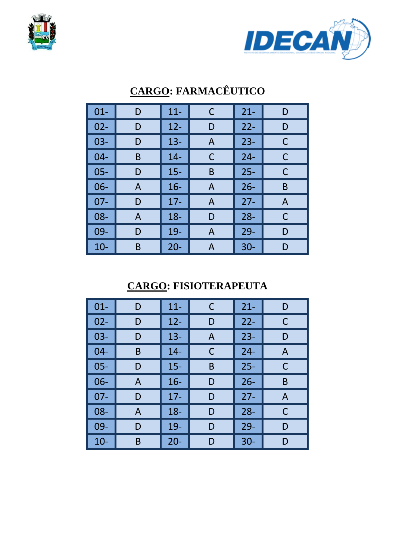



| $01 -$ | D | $11 -$ | С | $21 -$ | D |
|--------|---|--------|---|--------|---|
| $02 -$ | D | $12 -$ | D | $22 -$ | D |
| $03 -$ | D | $13 -$ | A | $23 -$ | C |
| $04 -$ | B | $14 -$ | С | $24 -$ | C |
| $05 -$ | D | $15 -$ | B | $25 -$ | C |
| $06 -$ | A | $16 -$ | A | $26 -$ | B |
| $07 -$ | D | $17 -$ | А | $27 -$ | A |
| 08-    | A | $18 -$ | D | $28 -$ | C |
| 09-    | D | 19-    | A | $29 -$ | D |
| $10-$  | B | $20 -$ | Α | $30 -$ | D |

## **CARGO: FARMACÊUTICO**

## **CARGO: FISIOTERAPEUTA**

| $01 -$ | D | $11 -$ | С | $21 -$ | D |
|--------|---|--------|---|--------|---|
| $02 -$ | D | $12 -$ | D | $22 -$ | С |
| $03 -$ | D | $13 -$ | A | $23 -$ | D |
| $04 -$ | B | $14 -$ | С | $24 -$ | A |
| $05 -$ | D | $15 -$ | B | $25 -$ | С |
| $06 -$ | A | $16 -$ | D | $26 -$ | B |
| $07 -$ | D | $17 -$ | D | $27 -$ | A |
| 08-    | A | $18 -$ | D | $28 -$ | С |
| 09-    | D | 19-    | D | $29 -$ | D |
| $10 -$ | B | $20 -$ | D | $30 -$ | D |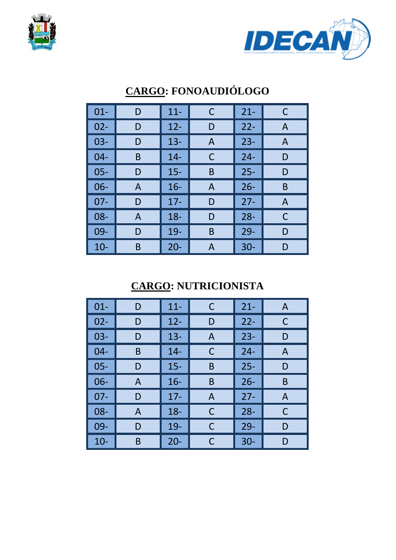



| $01 -$ | D | $11 -$ | C | $21 -$ | C |
|--------|---|--------|---|--------|---|
| $02 -$ | D | $12 -$ | D | $22 -$ | A |
| $03 -$ | D | $13 -$ | A | $23 -$ | A |
| $04 -$ | B | $14 -$ | С | $24 -$ | D |
| $05 -$ | D | $15 -$ | B | $25 -$ | D |
| $06 -$ | A | $16 -$ | A | $26 -$ | B |
| $07 -$ | D | $17 -$ | D | $27 -$ | A |
| 08-    | A | $18 -$ | D | $28 -$ | C |
| 09-    | D | 19-    | B | $29 -$ | D |
| $10-$  | B | $20 -$ | Α | $30 -$ | D |

## **CARGO: FONOAUDIÓLOGO**

## **CARGO: NUTRICIONISTA**

| $01 -$ | D | $11 -$ | C | $21 -$ | A |
|--------|---|--------|---|--------|---|
| $02 -$ | D | $12 -$ | D | $22 -$ | C |
| $03 -$ | D | $13 -$ | A | $23 -$ | D |
| $04 -$ | B | $14 -$ | С | $24 -$ | A |
| $05 -$ | D | $15 -$ | B | $25 -$ | D |
| 06-    | A | $16 -$ | Β | $26 -$ | B |
| $07 -$ | D | $17 -$ | A | $27 -$ | A |
| $08 -$ | A | $18 -$ | С | $28 -$ | C |
| 09-    | D | 19-    | C | $29 -$ | D |
| $10 -$ | B | $20 -$ | С | $30 -$ | D |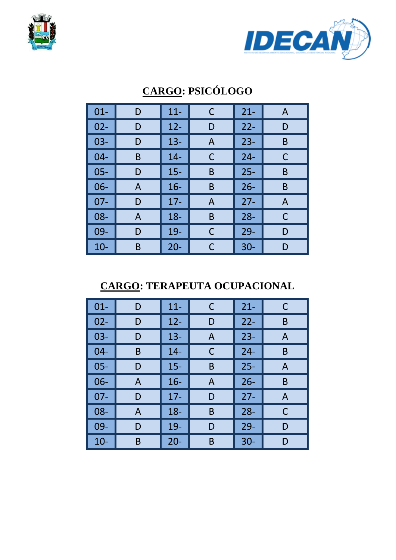



## **CARGO: PSICÓLOGO**

| $01 -$ | D | $11 -$ | С | $21 -$ | A |
|--------|---|--------|---|--------|---|
| $02 -$ | D | $12 -$ | D | $22 -$ | D |
| $03 -$ | D | $13 -$ | A | $23 -$ | B |
| $04 -$ | B | $14 -$ | C | $24 -$ | С |
| $05 -$ | D | $15 -$ | B | $25 -$ | B |
| $06 -$ | A | $16 -$ | B | $26 -$ | B |
| $07 -$ | D | $17 -$ | A | $27 -$ | A |
| 08-    | A | $18 -$ | B | $28 -$ | С |
| 09-    | D | 19-    | С | $29 -$ | D |
| $10 -$ | B | $20 -$ | C | $30 -$ | D |

**CARGO: TERAPEUTA OCUPACIONAL** 

| $01 -$ | D            | $11 -$ | C | $21 -$ | C |
|--------|--------------|--------|---|--------|---|
| $02 -$ | D            | $12 -$ | D | $22 -$ | B |
| $03 -$ | D            | $13 -$ | A | $23 -$ | A |
| $04 -$ | B            | $14 -$ | С | $24 -$ | B |
| $05 -$ | D            | $15 -$ | B | $25 -$ | A |
| 06-    | $\mathsf{A}$ | $16 -$ | A | $26 -$ | B |
| $07 -$ | D            | $17 -$ | D | $27 -$ | A |
| 08-    | A            | $18 -$ | B | $28 -$ | C |
| $09 -$ | D            | 19-    | D | $29 -$ | D |
| $10 -$ | Β            | $20 -$ | B | $30 -$ | D |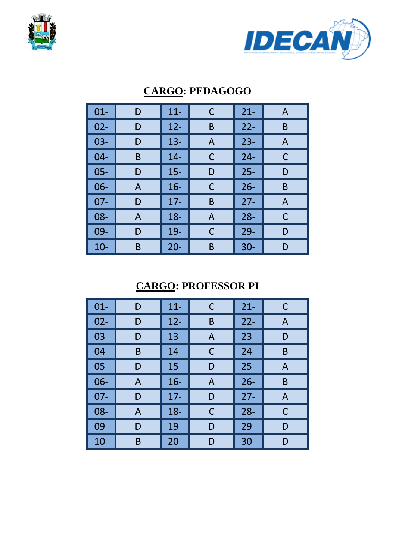



#### **CARGO: PEDAGOGO**

| $01 -$ | D | $11 -$ | С | $21 -$ | A |
|--------|---|--------|---|--------|---|
| $02 -$ | D | $12 -$ | B | $22 -$ | B |
| $03 -$ | D | $13 -$ | A | $23 -$ | A |
| $04 -$ | B | $14 -$ | C | $24 -$ | С |
| $05 -$ | D | $15 -$ | D | $25 -$ | D |
| $06 -$ | A | $16 -$ | С | $26 -$ | B |
| $07 -$ | D | $17-$  | B | $27 -$ | A |
| 08-    | A | $18 -$ | A | $28 -$ | C |
| 09-    | D | 19-    | С | $29 -$ | D |
| $10-$  | B | $20 -$ | B | $30 -$ | D |

### **CARGO: PROFESSOR PI**

| $01 -$ | D | $11 -$ | С | $21 -$ | C |
|--------|---|--------|---|--------|---|
| $02 -$ | D | $12 -$ | B | $22 -$ | A |
| $03 -$ | D | $13 -$ | A | $23 -$ | D |
| $04 -$ | B | $14 -$ | C | $24 -$ | B |
| $05 -$ | D | $15 -$ | D | $25 -$ | A |
| $06 -$ | A | $16 -$ | A | $26 -$ | B |
| $07 -$ | D | $17 -$ | D | $27 -$ | A |
| 08-    | A | $18 -$ | C | $28 -$ | C |
| 09-    | D | 19-    | D | $29 -$ | D |
| $10 -$ | B | $20 -$ | D | $30 -$ | D |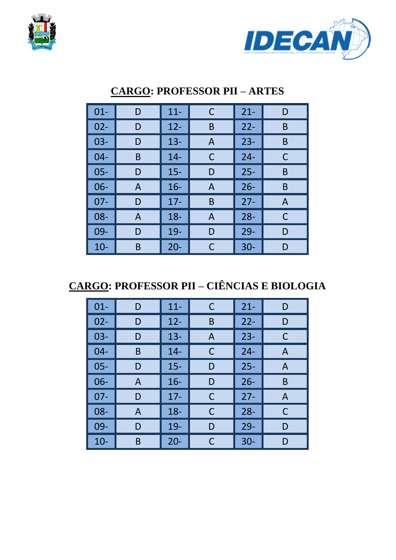



| $01 -$ | D | $11 -$ | С | $21 -$ | D |
|--------|---|--------|---|--------|---|
| $02 -$ | D | $12 -$ | B | $22 -$ | B |
| $03 -$ | D | $13 -$ | A | $23 -$ | B |
| $04 -$ | B | $14 -$ | С | $24 -$ | C |
| $05 -$ | D | $15 -$ | D | $25 -$ | B |
| 06-    | A | $16 -$ | A | $26 -$ | B |
| $07 -$ | D | $17 -$ | B | $27 -$ | A |
| 08-    | A | $18 -$ | A | $28 -$ | C |
| 09-    | D | 19-    | D | $29 -$ | D |
| $10-$  | B | $20 -$ | C | $30 -$ | D |

#### **CARGO: PROFESSOR PII – ARTES**

**CARGO: PROFESSOR PII – CIÊNCIAS E BIOLOGIA** 

| $01 -$ | D | $11 -$ | C | $21 -$ | D |
|--------|---|--------|---|--------|---|
| $02 -$ | D | $12 -$ | B | $22 -$ | D |
| $03 -$ | D | $13 -$ | A | $23 -$ | C |
| $04 -$ | B | $14 -$ | C | $24 -$ | A |
| $05 -$ | D | $15 -$ | D | $25 -$ | A |
| 06-    | A | $16 -$ | D | $26 -$ | B |
| $07 -$ | D | $17 -$ | C | $27 -$ | A |
| 08-    | A | $18 -$ | C | $28 -$ | C |
| 09-    | D | 19-    | D | $29 -$ | D |
| $10 -$ | B | $20 -$ | C | $30 -$ | D |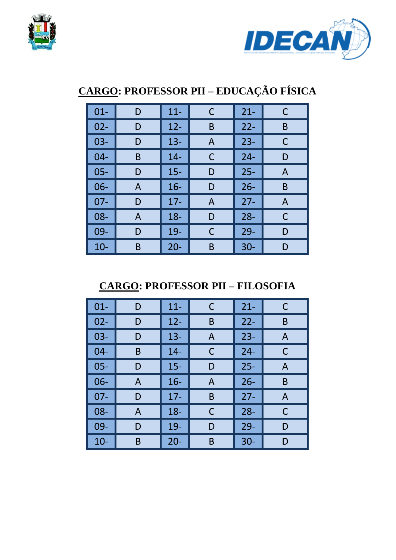



# **CARGO: PROFESSOR PII – EDUCAÇÃO FÍSICA**

| $01 -$ | D | $11 -$ | С | $21 -$ | C |
|--------|---|--------|---|--------|---|
| $02 -$ | D | $12 -$ | B | $22 -$ | B |
| $03 -$ | D | $13 -$ | A | $23 -$ | C |
| $04 -$ | B | $14 -$ | C | $24 -$ | D |
| $05 -$ | D | $15 -$ | D | $25 -$ | A |
| $06 -$ | A | $16 -$ | D | $26 -$ | B |
| $07 -$ | D | $17 -$ | A | $27 -$ | A |
| 08-    | A | $18 -$ | D | $28 -$ | C |
| 09-    | D | 19-    | С | $29 -$ | D |
| $10-$  | B | $20 -$ | Β | $30 -$ | D |

**CARGO: PROFESSOR PII – FILOSOFIA** 

| $01 -$ | D | $11 -$ | C | $21 -$ | C            |
|--------|---|--------|---|--------|--------------|
| $02 -$ | D | $12 -$ | B | $22 -$ | B            |
| $03 -$ | D | $13 -$ | A | $23 -$ | $\mathsf{A}$ |
| $04 -$ | B | $14 -$ | С | $24 -$ | C            |
| $05 -$ | D | $15 -$ | D | $25 -$ | A            |
| 06-    | A | $16 -$ | A | $26 -$ | B            |
| $07 -$ | D | $17 -$ | B | $27 -$ | $\mathsf{A}$ |
| 08-    | A | $18 -$ | С | $28 -$ | C            |
| 09-    | D | 19-    | D | $29 -$ | D            |
| $10 -$ | B | $20 -$ | B | $30 -$ | D            |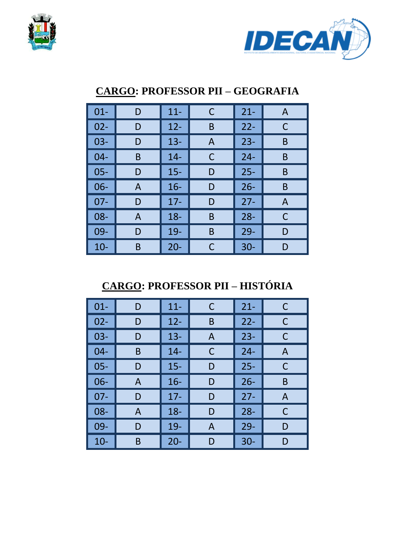



#### **CARGO: PROFESSOR PII – GEOGRAFIA**

| $01 -$ | D            | $11 -$ | С | $21 -$ | $\mathsf{A}$ |
|--------|--------------|--------|---|--------|--------------|
| $02 -$ | D            | $12 -$ | B | $22 -$ | C            |
| $03 -$ | D            | $13 -$ | A | $23 -$ | B            |
| $04 -$ | B            | $14 -$ | С | $24 -$ | B            |
| $05 -$ | D            | $15 -$ | D | $25 -$ | B            |
| 06-    | A            | $16 -$ | D | $26 -$ | B            |
| $07 -$ | D            | $17 -$ | D | $27 -$ | A            |
| 08-    | $\mathsf{A}$ | $18 -$ | B | $28 -$ | C            |
| 09-    | D            | $19-$  | B | $29-$  | D            |
| $10-$  | Β            | $20 -$ | С | $30 -$ | D            |

**CARGO: PROFESSOR PII – HISTÓRIA** 

| $01 -$ | D | $11 -$ | C | $21 -$ | C            |
|--------|---|--------|---|--------|--------------|
| $02 -$ | D | $12 -$ | B | $22 -$ | С            |
| $03 -$ | D | $13 -$ | A | $23 -$ | C            |
| $04 -$ | B | $14 -$ | C | $24 -$ | $\mathsf{A}$ |
| $05 -$ | D | $15 -$ | D | $25 -$ | C            |
| 06-    | A | $16 -$ | D | $26 -$ | B            |
| $07 -$ | D | $17 -$ | D | $27 -$ | $\mathsf{A}$ |
| 08-    | A | $18 -$ | D | $28 -$ | C            |
| 09-    | D | 19-    | A | $29 -$ | D            |
| $10-$  | B | $20 -$ | D | $30 -$ | D            |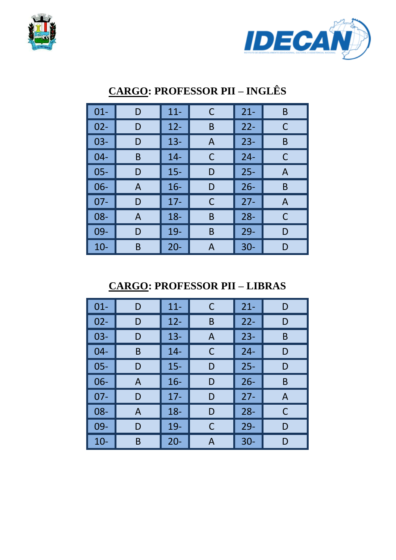



| $01 -$ | D | $11 -$ | C            | $21 -$ | B            |
|--------|---|--------|--------------|--------|--------------|
| $02 -$ | D | $12 -$ | B            | $22 -$ | C            |
| $03 -$ | D | $13 -$ | $\mathsf{A}$ | $23 -$ | B            |
| $04 -$ | B | $14 -$ | С            | $24 -$ | С            |
| $05 -$ | D | $15 -$ | D            | $25 -$ | $\mathsf{A}$ |
| $06 -$ | A | $16 -$ | D            | $26 -$ | B            |
| $07 -$ | D | $17 -$ | С            | $27 -$ | A            |
| 08-    | A | $18 -$ | B            | $28 -$ | C            |
| 09-    | D | 19-    | B            | $29 -$ | D            |
| $10-$  | B | $20 -$ | Α            | $30 -$ | D            |

### **CARGO: PROFESSOR PII – INGLÊS**

**CARGO: PROFESSOR PII – LIBRAS** 

| $01 -$ | D | $11 -$ | C | $21 -$ | D |
|--------|---|--------|---|--------|---|
| $02 -$ | D | $12 -$ | B | $22 -$ | D |
| $03 -$ | D | $13 -$ | A | $23 -$ | B |
| $04 -$ | B | $14 -$ | C | $24 -$ | D |
| $05 -$ | D | $15 -$ | D | $25 -$ | D |
| $06 -$ | A | $16 -$ | D | $26 -$ | B |
| $07 -$ | D | $17 -$ | D | $27 -$ | A |
| $08 -$ | A | $18 -$ | D | $28 -$ | C |
| 09-    | D | $19-$  | C | $29-$  | D |
| $10-$  | Β | $20 -$ | A | $30 -$ | D |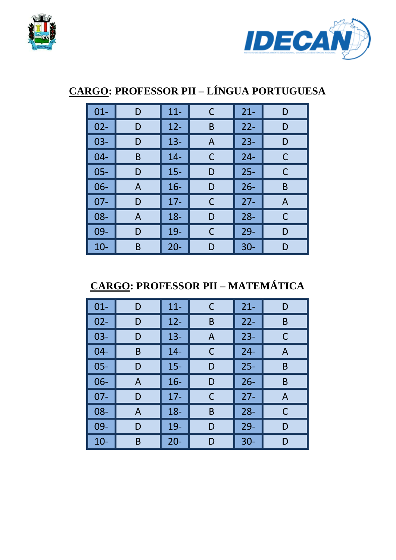



## **CARGO: PROFESSOR PII – LÍNGUA PORTUGUESA**

| $01 -$ | D | $11 -$ | С | $21 -$ | D |
|--------|---|--------|---|--------|---|
| $02 -$ | D | $12 -$ | B | $22 -$ | D |
| $03 -$ | D | $13 -$ | A | $23 -$ | D |
| $04 -$ | B | $14 -$ | C | $24 -$ | С |
| $05 -$ | D | $15 -$ | D | $25 -$ | C |
| $06 -$ | A | $16 -$ | D | $26 -$ | B |
| $07 -$ | D | $17 -$ | C | $27 -$ | A |
| 08-    | A | $18 -$ | D | $28 -$ | C |
| 09-    | D | 19-    | С | $29 -$ | D |
| $10-$  | B | $20 -$ | D | $30 -$ | D |

# **CARGO: PROFESSOR PII – MATEMÁTICA**

| $01 -$ | D | $11 -$ | С | $21 -$ | D            |
|--------|---|--------|---|--------|--------------|
| $02 -$ | D | $12 -$ | B | $22 -$ | B            |
| $03 -$ | D | $13 -$ | A | $23 -$ | C            |
| $04 -$ | B | $14 -$ | С | $24 -$ | $\mathsf{A}$ |
| $05 -$ | D | $15 -$ | D | $25 -$ | B            |
| 06-    | A | $16 -$ | D | $26 -$ | B            |
| $07 -$ | D | $17 -$ | С | $27 -$ | $\mathsf{A}$ |
| 08-    | A | $18 -$ | B | $28 -$ | C            |
| 09-    | D | 19-    | D | $29 -$ | D            |
| $10-$  | B | $20 -$ | D | $30 -$ | D            |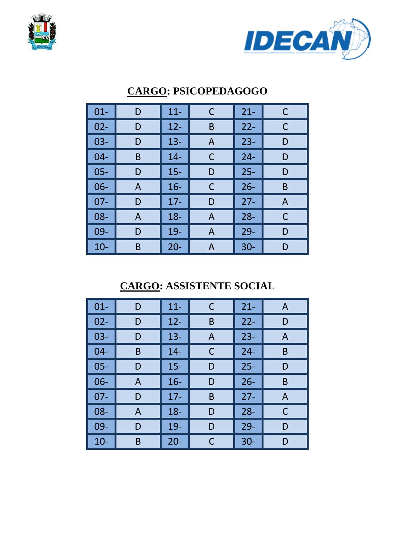



| $01 -$ | D | $11 -$ | C | $21 -$ | C |
|--------|---|--------|---|--------|---|
| $02 -$ | D | $12 -$ | B | $22 -$ | C |
| $03 -$ | D | $13 -$ | A | $23 -$ | D |
| $04 -$ | B | $14 -$ | С | $24 -$ | D |
| $05 -$ | D | $15 -$ | D | $25 -$ | D |
| $06 -$ | A | $16 -$ | С | $26 -$ | B |
| $07 -$ | D | $17-$  | D | $27 -$ | A |
| $08 -$ | A | $18 -$ | A | $28 -$ | C |
| 09-    | D | $19-$  | A | $29 -$ | D |
| $10-$  | B | $20 -$ | Α | $30 -$ | D |

#### **CARGO: PSICOPEDAGOGO**

### **CARGO: ASSISTENTE SOCIAL**

| $01 -$ | D | $11 -$ | C | $21 -$ | A |
|--------|---|--------|---|--------|---|
| $02 -$ | D | $12 -$ | Β | $22 -$ | D |
| $03 -$ | D | $13 -$ | A | $23 -$ | A |
| $04 -$ | B | $14 -$ | C | $24 -$ | B |
| $05 -$ | D | $15 -$ | D | $25 -$ | D |
| 06-    | A | $16 -$ | D | $26 -$ | B |
| $07 -$ | D | $17 -$ | B | $27 -$ | A |
| 08-    | A | $18 -$ | D | $28 -$ | C |
| 09-    | D | 19-    | D | $29 -$ | D |
| $10 -$ | B | $20 -$ | С | $30 -$ | D |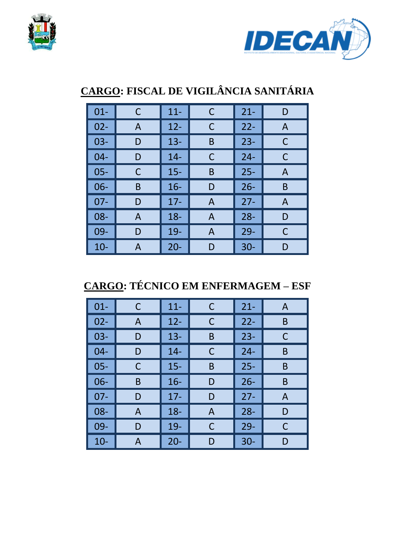



# **CARGO: FISCAL DE VIGILÂNCIA SANITÁRIA**

| $01 -$ | C | $11 -$ | С | $21 -$ | D |
|--------|---|--------|---|--------|---|
| $02 -$ | A | $12 -$ | С | $22 -$ | A |
| $03 -$ | D | $13 -$ | B | $23 -$ | C |
| $04 -$ | D | $14 -$ | С | $24 -$ | C |
| 05-    | С | $15 -$ | B | $25 -$ | A |
| $06 -$ | B | $16 -$ | D | $26 -$ | B |
| $07 -$ | D | $17 -$ | A | $27 -$ | A |
| 08-    | A | $18 -$ | A | $28 -$ | D |
| 09-    | D | 19-    | A | $29 -$ | C |
| $10-$  | A | $20 -$ | D | $30 -$ | D |

**CARGO: TÉCNICO EM ENFERMAGEM – ESF** 

| $01 -$ | C | $11 -$ | С | $21 -$ | A            |
|--------|---|--------|---|--------|--------------|
| $02 -$ | A | $12 -$ | С | $22 -$ | B            |
| $03 -$ | D | $13 -$ | B | $23 -$ | C            |
| $04 -$ | D | $14 -$ | C | $24 -$ | B            |
| $05 -$ | C | $15 -$ | B | $25 -$ | B            |
| $06 -$ | B | $16 -$ | D | $26 -$ | B            |
| $07 -$ | D | $17 -$ | D | $27 -$ | $\mathsf{A}$ |
| $08 -$ | A | $18 -$ | A | $28 -$ | D            |
| 09-    | D | $19-$  | C | $29 -$ | C            |
| $10-$  | A | $20 -$ | D | $30 -$ | D            |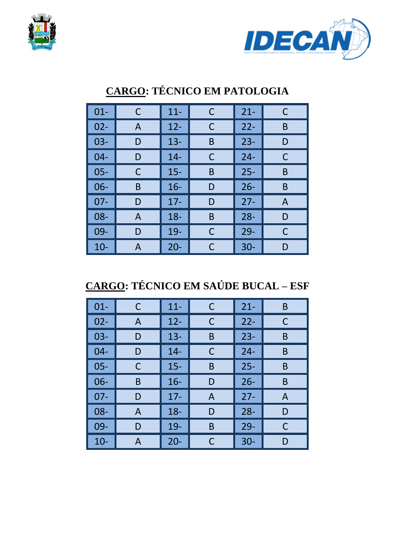



| $01 -$ | C | $11 -$ | C | $21 -$ | C |
|--------|---|--------|---|--------|---|
| $02 -$ | A | $12 -$ | С | $22 -$ | B |
| $03 -$ | D | $13 -$ | B | $23 -$ | D |
| $04 -$ | D | $14 -$ | С | $24 -$ | C |
| $05 -$ | C | $15 -$ | B | $25 -$ | Β |
| $06 -$ | B | $16 -$ | D | $26 -$ | B |
| $07 -$ | D | $17-$  | D | $27 -$ | A |
| 08-    | A | $18 -$ | B | $28 -$ | D |
| 09-    | D | 19-    | C | $29 -$ | C |
| $10-$  | А | $20 -$ | С | $30 -$ | D |

## **CARGO: TÉCNICO EM PATOLOGIA**

**CARGO: TÉCNICO EM SAÚDE BUCAL – ESF** 

| $01 -$ | C | $11 -$ | C | $21 -$ | B |
|--------|---|--------|---|--------|---|
| $02 -$ | A | $12 -$ | С | $22 -$ | С |
| $03 -$ | D | $13 -$ | B | $23 -$ | B |
| $04 -$ | D | $14 -$ | C | $24 -$ | B |
| $05 -$ | C | $15 -$ | B | $25 -$ | B |
| $06 -$ | B | $16 -$ | D | $26 -$ | B |
| $07 -$ | D | $17 -$ | A | $27 -$ | A |
| 08-    | A | $18 -$ | D | $28 -$ | D |
| 09-    | D | 19-    | B | $29 -$ | C |
| $10-$  | A | $20 -$ | C | $30 -$ | D |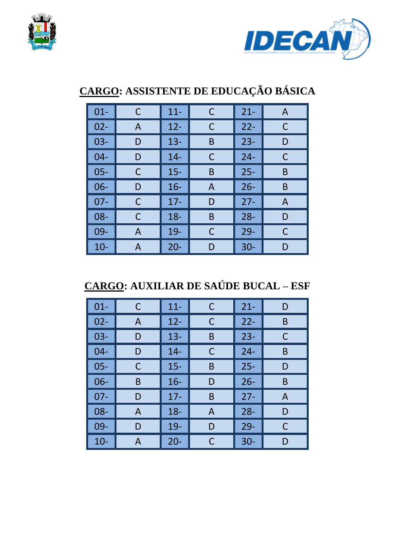



# **CARGO: ASSISTENTE DE EDUCAÇÃO BÁSICA**

| $01 -$ | C | $11 -$ | С | $21 -$ | $\mathsf{A}$ |
|--------|---|--------|---|--------|--------------|
| $02 -$ | A | $12 -$ | С | $22 -$ | C            |
| $03 -$ | D | $13 -$ | B | $23 -$ | D            |
| $04 -$ | D | $14 -$ | C | $24 -$ | C            |
| 05-    | С | $15 -$ | B | $25 -$ | B            |
| $06 -$ | D | $16 -$ | A | $26 -$ | B            |
| $07 -$ | С | $17 -$ | D | $27 -$ | A            |
| 08-    | С | $18 -$ | B | $28 -$ | D            |
| 09-    | A | 19-    | С | $29 -$ | C            |
| $10-$  | A | $20 -$ | D | $30 -$ | D            |

**CARGO: AUXILIAR DE SAÚDE BUCAL – ESF** 

| $01 -$ | C | $11 -$ | C | $21 -$ | D            |
|--------|---|--------|---|--------|--------------|
| $02 -$ | A | $12 -$ | С | $22 -$ | B            |
| $03 -$ | D | $13 -$ | B | $23 -$ | C            |
| $04 -$ | D | $14 -$ | C | $24 -$ | B            |
| $05 -$ | С | $15 -$ | B | $25 -$ | D            |
| 06-    | B | $16 -$ | D | $26 -$ | B            |
| $07 -$ | D | $17 -$ | B | $27 -$ | $\mathsf{A}$ |
| $08 -$ | A | $18 -$ | A | $28 -$ | D            |
| 09-    | D | 19-    | D | $29 -$ | C            |
| $10 -$ | A | $20 -$ | С | $30 -$ | D            |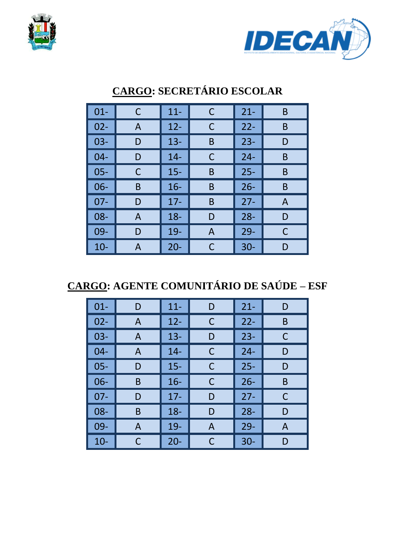



| $01 -$ | С | $11 -$ | С | $21 -$ | B |
|--------|---|--------|---|--------|---|
| $02 -$ | A | $12 -$ | С | $22 -$ | B |
| $03 -$ | D | $13 -$ | B | $23 -$ | D |
| $04 -$ | D | $14 -$ | C | $24 -$ | B |
| $05 -$ | С | $15 -$ | B | $25 -$ | B |
| $06 -$ | B | $16 -$ | B | $26 -$ | B |
| $07 -$ | D | $17-$  | B | $27 -$ | A |
| 08-    | A | $18 -$ | D | $28 -$ | D |
| 09-    | D | 19-    | A | $29 -$ | C |
| $10-$  | A | $20 -$ | C | $30 -$ | D |

## **CARGO: SECRETÁRIO ESCOLAR**

**CARGO: AGENTE COMUNITÁRIO DE SAÚDE – ESF** 

| $01 -$ | D            | $11 -$ | D | $21 -$ | D |
|--------|--------------|--------|---|--------|---|
| $02 -$ | A            | $12 -$ | C | $22 -$ | B |
| $03 -$ | $\mathsf{A}$ | $13 -$ | D | $23 -$ | C |
| $04 -$ | A            | $14 -$ | С | $24 -$ | D |
| $05 -$ | D            | $15 -$ | C | $25 -$ | D |
| 06-    | B            | $16 -$ | C | $26 -$ | B |
| $07 -$ | D            | $17 -$ | D | $27 -$ | C |
| 08-    | B            | $18 -$ | D | $28 -$ | D |
| 09-    | A            | 19-    | A | $29-$  | A |
| $10-$  | C            | $20 -$ | C | $30 -$ | D |